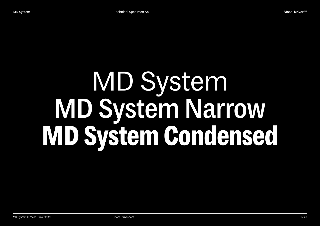# MD System **MD System Narrow MD System Condensed**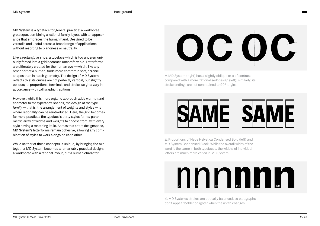MD System is a typeface for general practice: a workhorse grotesque, combining a rational family layout with an appear‐ ance that embraces the human hand. Designed to be versatile and useful across a broad range of applications, without resorting to blandness or neutrality.

Like a rectangular shoe, a typeface which is too unceremoni‐ ously forced into a grid becomes uncomfortable. Letterforms are ultimately created for the human eye — which, like any other part of a human, finds more comfort in soft, organic shapes than in harsh geometry. The design of MD System reflects this: its curves are not perfectly vertical, but slightly oblique; its proportions, terminals and stroke weights vary in accordance with calligraphic traditions.

However, while this more organic approach adds warmth and character to the typeface's shapes, the design of the type *family* — that is, the arrangement of weights and styles — is where rationality can be reintroduced. Here, the grid becomes far more practical: the typeface's thirty styles form a parametric array of widths and weights to choose from, with every style having a matching italic. Across this entire designspace, MD System's letterforms remain cohesive, allowing any combination of styles to work alongside each other.

While neither of these concepts is unique, by bringing the two together MD System becomes a remarkably practical design: a workhorse with a rational layout, but a human character.

# OG OG

 $\triangle$  MD System (right) has a slightly oblique axis of contrast compared with a more 'rationalised' design (left); similarly, its stroke endings are not constrained to 90° angles.



 $\triangle$  Proportions of Neue Helvetica Condensed Bold (left) and MD System Condensed Black. While the overall width of the word is the same in both typefaces, the widths of individual letters are much more varied in MD System.

# nn nn n

 $\triangle$  MD System's strokes are optically balanced, so paragraphs don't appear bolder or lighter when the width changes.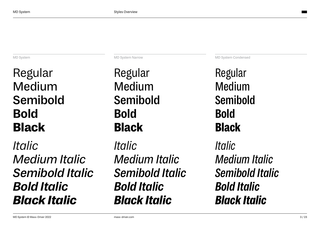MD System

Regular Medium **Semibold Bold Black**

*Italic Medium Italic Semibold Italic Bold Italic Black Italic*

Regular Medium **Semibold Bold Black**

*Italic Medium Italic Semibold Italic Bold Italic Black Italic*

MD System Narrow MD System Condensed

Regular Medium **Semibold Bold Black** *Italic*

*Medium Italic Semibold Italic Bold Italic Black Italic*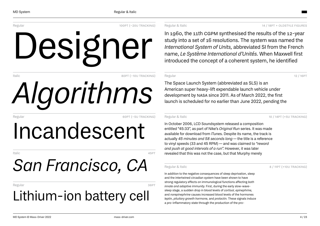

# *Algorithms*

Regular 60pt (−5u tracking)

# Incandescent

Italic 45pt

# *San Francisco, CA*

### Regular 36pt Lithium-ion battery cell

### Regular & Italic 14 / 18PT + OLDSTYLE FIGURES

In 1960, the 11th cgpm synthesised the results of the 12-year study into a set of 16 resolutions. The system was named the *International System of Units,* abbreviated SI from the French name, *Le Système International d'Unités.* When Maxwell first introduced the concept of a coherent system, he identified

Regular 12 / 16pt

The Space Launch System (abbreviated as SLS) is an American super heavy-lift expendable launch vehicle under development by nasa since 2011. As of March 2022, the first launch is scheduled for no earlier than June 2022, pending the

Regular & Italic 10 / 14pt (+5U TRACKING)

In October 2006, LCD Soundsystem released a composition entitled "45:33", as part of Nike's *Original Run* series. It was made available for download from iTunes. Despite its name, the track is actually *45 minutes and 58 seconds long*— the title is a reference to vinyl speeds (33 and 45 RPM)— and was claimed to *"reward and push at good intervals of a run".* However, it was later revealed that this was not the case, but that Murphy merely

Regular & Italic 8 / 11pt (+10U TRACKING)

In addition to the negative consequences of sleep deprivation, sleep and the intertwined circadian system have been shown to have strong regulatory effects on immunological functions affecting *both innate and adaptive immunity.* First, during the early slow-wavesleep stage, a sudden drop in blood levels of *cortisol, epinephrine,* and *norepinephrine* causes increased blood levels of the hormones *leptin, pituitary growth hormone,* and *prolactin.* These signals induce a pro-inflammatory state through the production of the pro-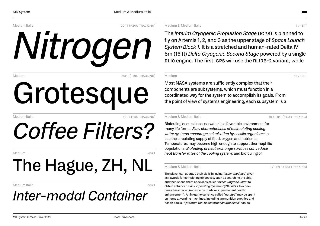Medium Italic 100pt (−20u TRACKING)

# *Nitrogen*

Medium 80pt (−10u tracking)

# Grotesque

Medium Italic 60pt (−5u tracking)

# *Coffee Filters?*

Medium 45pt

# The Hague, ZH, NL

Medium Italic 36 and 36 pt 2012 12:38 and 36 pt 36 pt 36 pt 36 pt 36 pt 36 pt 36 pt 36 pt 36 pt 36 pt 36 pt 36

## *Inter-modal Container*

Medium & Medium Italic 14 / 18pt

The *Interim Cryogenic Propulsion Stage* (icps) is planned to fly on Artemis 1, 2, and 3 as the upper stage of *Space Launch System Block 1.* It is a stretched and human-rated Delta IV 5m (16 ft) *Delta Cryogenic Second Stage* powered by a single RL10 engine. The first ICPS will use the RL10B-2 variant, while

Medium 12 / 16PT

Most NASA systems are sufficiently complex that their components are subsystems, which must function in a coordinated way for the system to accomplish its goals. From the point of view of systems engineering, each subsystem is a

Medium & Medium Italic 10 / 14pt (+5u Tracking)

Biofouling occurs because water is a favorable environment for many life forms. *Flow characteristics of recirculating cooling water systems encourage colonization by sessile organisms* to use the circulating supply of food, oxygen and nutrients. Temperatures may become high enough to support thermophilic populations. *Biofouling of heat exchange surfaces can reduce heat transfer rates of the cooling system;* and biofouling of

Medium & Medium Italic **8** / 11pt (+10u Tracking)

The player can upgrade their skills by using *"cyber-modules"* given as rewards for completing objectives, such as searching the ship, and then spend them at devices called *"cyber-upgrade units"* to obtain enhanced skills. *Operating System (O/S) units* allow onetime character upgrades to be made (e.g. permanent health enhancement). An in-game currency called *"nanites"* may be spent on items at vending machines, including ammunition supplies and health packs. *"Quantum Bio-Reconstruction Machines"* can be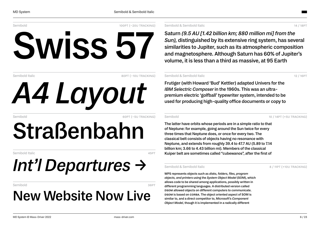Semibold 100pt (−20u TRACKING)

# **Swiss 57**

Semibold Italic 80pt (−10u TRACKING)

Semibold 60pt (−5u tracking)

# **Straßenbahn**

*A4 Layout*

Semibold Italic 45pt

# *Int'l Departures →*

### Semibold 36PT 36 to 36 and 36 and 36 and 36 and 36 and 36 and 36 and 36 and 36 and 36 and 36 and 36 and 36 and

## **New Website Now Live**

Semibold & Semibold Italic 14 / 18pt

**Saturn** *(9.5 AU [1.42 billion km; 880 million mi] from the Sun),* **distinguished by its extensive ring system, has several similarities to Jupiter, such as its atmospheric composition and magnetosphere. Although Saturn has 60% of Jupiter's volume, it is less than a third as massive, at 95 Earth**

### Semibold & Semibold Italic 12 / 16pt

**Frutiger (with Howard 'Bud' Kettler) adapted Univers for the** *IBM Selectric Composer* **in the 1960s. This was an ultrapremium electric 'golfball' typewriter system, intended to be used for producing high-quality office documents or copy to**

Semibold 10 / 14pt (+5U TRACKING)

**The latter have orbits whose periods are in a simple ratio to that of Neptune: for example, going around the Sun twice for every three times that Neptune does, or once for every two. The classical belt consists of objects having no resonance with Neptune, and extends from roughly 39.4 to 47.7 AU (5.89 to 7.14 billion km; 3.66 to 4.43 billion mi). Members of the classical Kuiper belt are sometimes called "cubewanos", after the first of**

### Semibold & Semibold Italic 8 / 11pt (+10u tracking)

**WPS represents objects such as** *disks, folders, files, program objects, and printers* **using the** *System Object Model* **(SOM), which allows code to be shared among applications, possibly written in different programming languages. A distributed version called dsom allowed objects on different computers to communicate. dsom is based on corba. The object oriented aspect of SOM is similar to, and a direct competitor to, Microsoft's** *Component Object Model,* **though it is implemented in a radically different**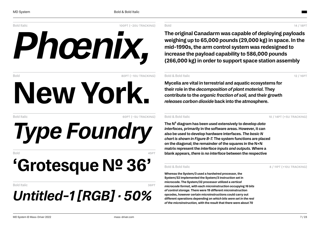

Bold Italic 60pt (−5u tracking)

*Type Foundry*

Bold 45pt

# **'Grotesque№ 36'**

### Bold Italic 36 pt 36 pt 36 pt 36 pt 36 pt 36 pt 36 pt 36 pt 36 pt 36 pt 36 pt 36 pt 36 pt 36 pt 36 pt 36 pt 36 *Untitled-1 [RGB] · 50%*

Bold 14 / 18PT 2002 12:00 12:00 12:00 12:00 12:00 12:00 12:00 12:00 12:00 12:00 12:00 12:00 12:00 12:00 12:00 1

**The original Canadarm was capable of deploying payloads weighing up to 65,000 pounds (29,000 kg) in space. In the mid-1990s, the arm control system was redesigned to increase the payload capability to 586,000 pounds (266,000 kg) in order to support space station assembly**

### Bold & Bold Italic 12 / 16pt

**Mycelia are vital in terrestrial and aquatic ecosystems for their role in the** *decomposition of plant material.* **They contribute to the** *organic fraction of soil,* **and their growth** *releases carbon dioxide* **back into the atmosphere.**

Bold & Bold Italic 10 / 14pt (+5u Tracking)

**The N² diagram has been used extensively to develop** *data interfaces,* **primarily in the software areas. However, it can also be used to develop hardware interfaces.** *The basic N chart is shown in Figure B-7.* **The system functions are placed on the diagonal; the remainder of the squares in the N×N matrix represent the** *interface inputs and outputs.* **Where a blank appears,** *there is no interface* **between the respective**

Bold & Bold Italic 8 / 11pt (+10u TRACKING)

**Whereas the System/3 used a hardwired processor, the System/32 implemented the System/3 instruction set in microcode. The System/32 processor utilized a** *vertical microcode format,* **with each microinstruction occupying** *16 bits of control storage.* **There were 19 different microinstruction opcodes, however certain microinstructions could carry out different operations depending on** *which bits were set in the rest of the microinstruction,* **with the result that there were about 70**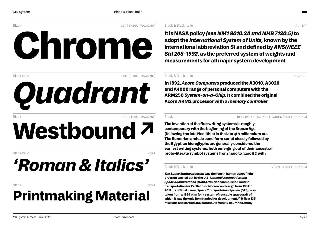



Black 60pt (−5u tracking)

# **Westbound ↗**

Black Italic 45pt

# *'Roman & Italics'*

### Black 36pt

## **Printmaking Material**

### Black & Black Italic 14 / 18pt

**It is NASA policy** *(see NM1 8010.2A and NHB 7120.5)***to adopt the** *International System of Units,* **known by the international abbreviation** *SI* **and defined by** *ANSI/IEEE Std 268-1992,* **as the preferred system of weights and measurements for all major system development**

### Black & Black Italic 12 / 16pt 12 / 16pt 12 / 16pt 12 / 16pt 12 / 16pt 12 / 16pt 12 / 16pt 12 / 16pt 12 / 16pt

**In 1992,** *Acorn Computers* **produced the A3010, A3020 and A4000 range of personal computers with the ARM250** *System-on-a-Chip.* **It combined the original Acorn ARM2 processor with a** *memory controller*

Black 10 / 14PT + OLDSTYLE FIGURES (+5U TRACKING)

**The invention of the first writing systems is roughly contemporary with the beginning of the Bronze Age (following the late Neolithic) in the late 4th millennium bc. The Sumerian archaic cuneiform script closely followed by the Egyptian hieroglyphs are generally considered the earliest writing systems, both emerging out of their ancestral proto-literate symbol systems from 3400 to 3200 bc with**

Black & Black Italic **Black Italic** 8 / 11pt (+10u TRACKING)

*The Space Shuttle program* **was the fourth human spaceflight program carried out by the U.S.** *National Aeronautics and Space Administration* **(nasa), which accomplished routine transportation for Earth-to-orbit crew and cargo from 1981 to 2011. Its official name,** *Space Transportation System* **(STS), was taken from a 1969 plan for a system of reusable spacecraft of** which it was the only item funded for development.<sup>[1]</sup> It flew 135 **missions and carried 355 astronauts from 16 countries, many**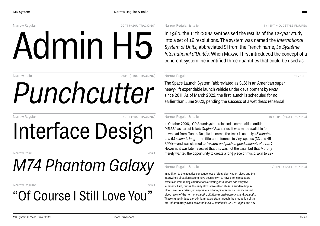Narrow Regular 100pt (−20u TRACKING)

# Admin H5

Narrow Italic 80pt (−10U TRACKING)

# *Punchcutter*

Narrow Regular 60pt (−5U TRACKING)

Interface Design

Narrow Italic 45pt

# *M74 Phantom Galaxy*

### Narrow Regular 36 and 36 pt 20 and 36 pt 36 pt 36 pt 36 pt 36 pt 36 pt 36 pt 36 pt 36 pt 36 pt 36 pt 36 pt 36

## "Of Course I Still Love You"

### Narrow Regular & Italic 14 / 18PT + OLDSTYLE FIGURES

In 1960, the 11th CGPM synthesised the results of the 12-year study into a set of 16 resolutions. The system was named the *International System of Units,* abbreviated SI from the French name, *Le Système International d'Unités.* When Maxwell first introduced the concept of a coherent system, he identified three quantities that could be used as

### Narrow Regular 12 / 16PT

The Space Launch System (abbreviated as SLS) is an American super heavy-lift expendable launch vehicle under development by nasa since 2011. As of March 2022, the first launch is scheduled for no earlier than June 2022, pending the success of a wet dress rehearsal

Narrow Regular & Italic 10 / 14pt (+5u Tracking)

In October 2006, LCD Soundsystem released a composition entitled "45:33", as part of Nike's *Original Run* series. It was made available for download from iTunes. Despite its name, the track is actually *45 minutes and 58 seconds long* —the title is a reference to vinyl speeds (33 and 45 RPM) — and was claimed to *"reward and push at good intervals of a run".* However, it was later revealed that this was not the case, but that Murphy merely wanted the opportunity to create a long piece of music, akin to E2-

Narrow Regular & Italic **8 / 11pt (+10U TRACKING)** 

In addition to the negative consequences of sleep deprivation, sleep and the intertwined circadian system have been shown to have strong regulatory effects on immunological functions affecting *both innate and adaptive immunity.* First, during the early slow-wave-sleep stage, a sudden drop in blood levels of *cortisol, epinephrine,* and *norepinephrine* causes increased blood levels of the hormones *leptin, pituitary growth hormone,* and *prolactin.* These signals induce a pro-inflammatory state through the production of the pro-inflammatory cytokines *interleukin-1, interleukin-12, TNF-alpha* and *IFN-*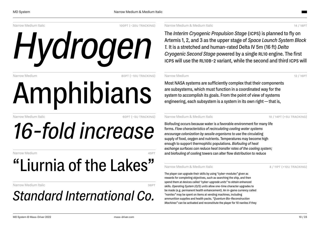Narrow Medium Italic 100pt (−20U TRACKING)

# *Hydrogen*

Narrow Medium 80pt (−10U TRACKING)

# Amphibians

Narrow Medium Italic 60pt (−5U TRACKING)

# *16-fold increase*

Narrow Medium

## "Liurnia of the Lakes"

Narrow Medium Italic 36 and 2008 12:00 13:00 13:00 13:00 13:00 13:00 13:00 13:00 13:00 13:00 13:00 13:00 13:00 13:00 13:00 13:00 13:00 13:00 13:00 13:00 13:00 13:00 13:00 13:00 13:00 13:00 13:00 13:00 13:00 13:00 13:00 13:

## *Standard International Co.*

Narrow Medium & Medium Italic 14 / 18pt

The *Interim Cryogenic Propulsion Stage* (icps) is planned to fly on Artemis 1, 2, and 3 as the upper stage of *Space Launch System Block 1.* It is a stretched and human-rated Delta IV 5m (16 ft) *Delta Cryogenic Second Stage* powered by a single RL10 engine. The first icps will use the rl10b-2 variant, while the second and third icps will

### Narrow Medium 2012 12 / 16pt 2022 12 / 16pt 2022 12 / 16pt 2022 12 / 16pt 2022 12

Most NASA systems are sufficiently complex that their components are subsystems, which must function in a coordinated way for the system to accomplish its goals. From the point of view of systems engineering, each subsystem is a system in its own right— that is,

### Narrow Medium & Medium Italic 10 / 14pt (+5U TRACKING)

Biofouling occurs because water is a favorable environment for many life forms. *Flow characteristics of recirculating cooling water systems encourage colonization by sessile organisms* to use the circulating supply of food, oxygen and nutrients. Temperatures may become high enough to support thermophilic populations. *Biofouling of heat exchange surfaces can reduce heat transfer rates of the cooling system;* and biofouling of cooling towers can alter flow distribution to reduce

### Narrow Medium & Medium Italic **8** / 11pt (+10U TRACKING)

The player can upgrade their skills by using *"cyber-modules"* given as rewards for completing objectives, such as searching the ship, and then spend them at devices called *"cyber-upgrade units"* to obtain enhanced skills. *Operating System (O/S) units* allow one-time character upgrades to be made (e.g. permanent health enhancement). An in-game currency called *"nanites"* may be spent on items at vending machines, including ammunition supplies and health packs. *"Quantum Bio-Reconstruction Machines"* can be activated and reconstitute the player for 10 nanites if they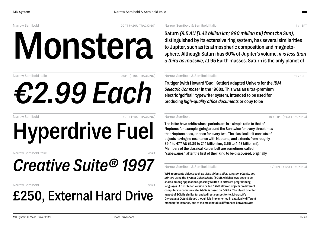Narrow Semibold 100pt (−20u TRACKING)

# **Monstera**

Narrow Semibold Italic 80pt (−10U TRACKING)

# *€2.99 Each*

Narrow Semibold 60pt (−5u tracking)

**Hyperdrive Fuel**

Narrow Semibold Italic 45pt

## *Creative Suite® 1997*

Narrow Semibold 36PT

## **£250, External Hard Drive**

Narrow Semibold & Semibold Italic 14 / 18pt

**Saturn** *(9.5 AU [1.42 billion km; 880 million mi] from the Sun),* **distinguished by its extensive ring system, has several similarities to Jupiter, such as its atmospheric composition and magnetosphere. Although Saturn has 60% of Jupiter's volume,** *it is less than a third as massive,* **at 95 Earth masses. Saturn is the only planet of**

### Narrow Semibold & Semibold Italic 12 / 16pt

**Frutiger (with Howard 'Bud' Kettler) adapted Univers for the** *IBM Selectric Composer* **in the 1960s. This was an ultra-premium electric 'golfball' typewriter system, intended to be used for producing** *high-quality office documents* **or copy to be**

Narrow Semibold 10 / 14pt (+5U TRACKING)

**The latter have orbits whose periods are in a simple ratio to that of Neptune: for example, going around the Sun twice for every three times that Neptune does, or once for every two. The classical belt consists of objects having no resonance with Neptune, and extends from roughly 39.4 to 47.7 AU (5.89 to 7.14 billion km; 3.66 to 4.43 billion mi). Members of the classical Kuiper belt are sometimes called "cubewanos", after the first of their kind to be discovered, originally**

### Narrow Semibold & Semibold Italic 8 / 11pt (+10U TRACKING)

**WPS represents objects such as** *disks, folders, files, program objects, and printers* **using the** *System Object Model* **(SOM), which allows code to be shared among applications, possibly written in different programming languages. A distributed version called dsom allowed objects on different computers to communicate. dsom is based on corba. The object oriented aspect of SOM is similar to, and a direct competitor to, Microsoft's** *Component Object Model,* **though it is implemented in a radically different manner; for instance, one of the most notable differences between SOM**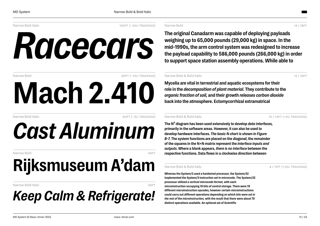Narrow Bold Italic 100pt (−20u TRACKING)

# *Racecars*

Narrow Bold 80pt (−10u TRACKING)

Narrow Bold Italic 60pt (−5U TRACKING)

# *Cast Aluminum*

**Mach 2.410**

Narrow Bold 45pt and the second second second second second second second second second second second second s

# **Rijksmuseum A'dam**

### Narrow Bold Italic 36pt

## *Keep Calm & Refrigerate!*

Narrow Bold 2008 - 2009 - 2009 - 2009 - 2010 - 2010 - 2010 - 2010 - 2010 - 2010 - 2010 - 2010 - 2010 - 2010 - 20

**The original Canadarm was capable of deploying payloads weighing up to 65,000 pounds (29,000 kg) in space. In the mid-1990s, the arm control system was redesigned to increase the payload capability to 586,000 pounds (266,000 kg) in order to support space station assembly operations. While able to**

### Narrow Bold & Bold Italic 12 / 16pt 12 / 16pt 12 / 16pt 12 / 16pt 12 / 16pt 12 / 16pt 12 / 16pt 12 / 16pt 12 / 16pt 12 / 16pt 12 / 16pt 12 / 16pt 12 / 16pt 12 / 16pt 12 / 16pt 12 / 16pt 12 / 16pt 12 / 16pt 12 / 16pt 12 / 1

**Mycelia are vital in terrestrial and aquatic ecosystems for their role in the** *decomposition of plant material.***They contribute to the** *organic fraction of soil,* **and their growth** *releases carbon dioxide* **back into the atmosphere. Ectomycorrhizal extramatrical**

Narrow Bold & Bold Italic 10 / 14pt (+5u Tracking)

**The N² diagram has been used extensively to develop** *data interfaces,* **primarily in the software areas. However, it can also be used to develop hardware interfaces.** *The basic N chart is shown in Figure B-7.* **The system functions are placed on the diagonal; the remainder of the squares in the N×N matrix represent the** *interface inputs and outputs.* **Where a blank appears,** *there is no interface* **between the respective functions. Data flows in a clockwise direction between**

Narrow Bold & Bold Italic **8 / 2008** 8 / 11pt (+10u TRACKING)

**Whereas the System/3 used a hardwired processor, the System/32 implemented the System/3 instruction set in microcode. The System/32 processor utilized a** *vertical microcode format,* **with each microinstruction occupying** *16 bits of control storage.* **There were 19 different microinstruction opcodes, however certain microinstructions could carry out different operations depending on** *which bits were set in the rest of the microinstruction,* **with the result that there were about 70 distinct operations available. An optional set of Scientific**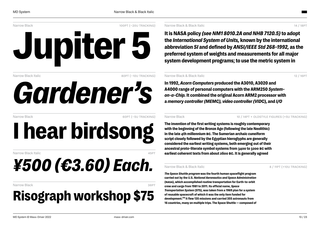



Narrow Black Italic 80pt (−10U TRACKING)

# *Gardener's*

Narrow Black 60pt (−5U TRACKING)

**I hear birdsong**

Narrow Black Italic 45pt

# *¥500 (€3.60) Each.*

### Narrow Black 36PT (1999) 2008 12:00 12:00 12:00 12:00 12:00 12:00 12:00 12:00 12:00 12:00 12:00 12:00 12:00 12:0

## **Risograph workshop \$75**

Narrow Black & Black Italic 14 / 18pt

**It is NASA policy** *(see NM1 8010.2A and NHB 7120.5)* **to adopt the** *International System of Units,* **known by the international abbreviation** *SI* **and defined by** *ANSI/IEEE Std 268-1992,* **as the preferred system of weights and measurements for all major system development programs; to use the metric system in**

### Narrow Black & Black Italic 12 / 16pt 12 / 16pt 12 / 16pt 12 / 16pt 12 / 16pt 12 / 16pt 12 / 16pt 12 / 16pt 12

**In 1992,** *Acorn Computers* **produced the A3010, A3020 and A4000 range of personal computers with the ARM250** *Systemon-a-Chip.* **It combined the original Acorn ARM2 processor with a** *memory controller (MEMC), video controller (VID***C), and** *I/O*

Narrow Black 10 / 14PT + OLDSTYLE FIGURES (+5U TRACKING)

**The invention of the first writing systems is roughly contemporary with the beginning of the Bronze Age (following the late Neolithic) in the late 4th millennium bc. The Sumerian archaic cuneiform script closely followed by the Egyptian hieroglyphs are generally considered the earliest writing systems, both emerging out of their ancestral proto-literate symbol systems from 3400 to 3200 bc with earliest coherent texts from about 2600 bc. It is generally agreed**

### Narrow Black & Black Italic **8 / 11pt (+10U TRACKING)**

*The Space Shuttle program* **was the fourth human spaceflight program carried out by the U.S.** *National Aeronautics and Space Administration* **(nasa), which accomplished routine transportation for Earth-to-orbit crew and cargo from 1981 to 2011. Its official name,** *Space Transportation System* **(STS), was taken from a 1969 plan for a system of reusable spacecraft of which it was the only item funded for development.[¹] It flew 135 missions and carried 355 astronauts from 16 countries, many on multiple trips. The Space Shuttle — composed of**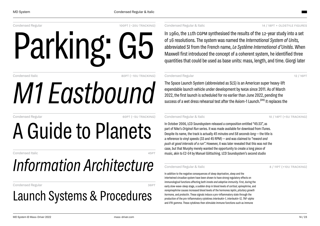Condensed Regular 100pt (−20u TRACKING)

# Parking: G5

Condensed Italic 80pt (−10u TRACKING)

# *M1 Eastbound*

Condensed Regular 60pt (−5u tracking)

# A Guide to Planets

Condensed Italic 45pt

## *Information Architecture*

Condensed Regular 36 and 200 and 200 and 200 and 36 and 36 pt

## Launch Systems & Procedures

### Condensed Regular & Italic 14 / 18PT + OLDSTYLE FIGURES

In 1960, the 11th cgpm synthesised the results of the 12-year study into a set of 16 resolutions. The system was named the *International System of Units,* abbreviated SI from the French name, *Le Système International d'Unités.* When Maxwell first introduced the concept of a coherent system, he identified three quantities that could be used as base units: mass, length, and time. Giorgi later

### Condensed Regular 12 / 16PT

The Space Launch System (abbreviated as SLS) is an American super heavy-lift expendable launch vehicle under development by nasa since 2011. As of March 2022, the first launch is scheduled for no earlier than June 2022, pending the success of a wet dress rehearsal test after the Axiom-1 Launch.<sup>[20]</sup> It replaces the

Condensed Regular & Italic 10 / 14pt (+5u tracking)

In October 2006, LCD Soundsystem released a composition entitled "45:33", as part of Nike's *Original Run* series. It was made available for download from iTunes. Despite its name, the track is actually *45 minutes and 58 seconds long*—the title is a reference to vinyl speeds (33 and 45 RPM) — and was claimed to *"reward and push at good intervals of a run".* However, it was later revealed that this was not the case, but that Murphy merely wanted the opportunity to create a long piece of music, akin to E2-E4 by Manuel Göttsching. LCD Soundsystem's second studio

### Condensed Regular & Italic 8 / 11pt (+10u tracking)

In addition to the negative consequences of sleep deprivation, sleep and the intertwined circadian system have been shown to have strong regulatory effects on immunological functions affecting *both innate and adaptive immunity.* First, during the early slow-wave-sleep stage, a sudden drop in blood levels of *cortisol, epinephrine,* and *norepinephrine* causes increased blood levels of the hormones *leptin, pituitary growth hormone,* and *prolactin.* These signals induce a pro-inflammatory state through the production of the pro-inflammatory cytokines *interleukin-1, interleukin-12, TNF-alpha* and *IFN-gamma.* These cytokines then stimulate immune functions such as immune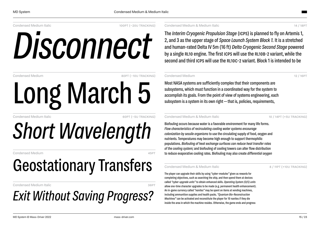Condensed Medium Italic 100pt (−20u tracking)

*Disconnect*

Long March 5

Condensed Medium 80pt (−10U TRACKING)

Condensed Medium Italic 60pt (−5u Tracking)

# *Short Wavelength*

Condensed Medium

# Geostationary Transfers

Condensed Medium Italic

## *Exit Without Saving Progress?*

Condensed Medium & Medium Italic 14 / 18pt

The *Interim Cryogenic Propulsion Stage* (icps) is planned to fly on Artemis 1, 2, and 3 as the upper stage of *Space Launch System Block 1.* It is a stretched and human-rated Delta IV 5m (16 ft) *Delta Cryogenic Second Stage* powered by a single RL10 engine. The first ICPS will use the RL10B-2 variant, while the second and third ICPS will use the RL10C-2 variant. Block 1 is intended to be

### Condensed Medium 2001 12 / 16 PT

Most NASA systems are sufficiently complex that their components are subsystems, which must function in a coordinated way for the system to accomplish its goals. From the point of view of systems engineering, each subsystem is a system in its own right—that is, policies, requirements,

### Condensed Medium & Medium Italic 10 / 14pt (+5U TRACKING)

Biofouling occurs because water is a favorable environment for many life forms. *Flow characteristics of recirculating cooling water systems encourage colonization by sessile organisms* to use the circulating supply of food, oxygen and nutrients. Temperatures may become high enough to support thermophilic populations. *Biofouling of heat exchange surfaces can reduce heat transfer rates of the cooling system;* and biofouling of cooling towers can alter flow distribution to reduce evaporative cooling rates. Biofouling may also create *differential oxygen*

### Condensed Medium & Medium Italic 8 / 11pt (+10U TRACKING)

The player can upgrade their skills by using *"cyber-modules"* given as rewards for completing objectives, such as searching the ship, and then spend them at devices called *"cyber-upgrade units"* to obtain enhanced skills. *Operating System (O/S) units* allow one-time character upgrades to be made (e.g. permanent health enhancement). An in-game currency called *"nanites"* may be spent on items at vending machines, including ammunition supplies and health packs. *"Quantum Bio-Reconstruction Machines"* can be activated and reconstitute the player for 10 nanites if they die inside the area in which the machine resides. Otherwise, the game ends and progress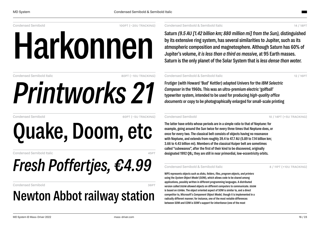Condensed Semibold 100pt (−20u TRACKING)

# **Harkonnen**

Condensed Semibold Italic 80pt (−10U TRACKING)

Condensed Semibold 60pt (−5u tracking)

# **Quake, Doom, etc**

*Printworks 21*

Condensed Semibold Italic

# *Fresh Poffertjes, €4.99*

Condensed Semibold 36pt

## **Newton Abbot railway station**

Condensed Semibold & Semibold Italic 14 / 18pt

**Saturn** *(9.5 AU [1.42 billion km; 880 million mi] from the Sun),* **distinguished by its extensive ring system, has several similarities to Jupiter, such as its atmospheric composition and magnetosphere. Although Saturn has 60% of Jupiter's volume,** *it is less than a third as massive,* **at 95 Earth masses. Saturn is the only planet of the Solar System that is***less dense than water.*

### Condensed Semibold & Semibold Italic 12 / 16pt

**Frutiger (with Howard 'Bud' Kettler) adapted Univers for the** *IBM Selectric Composer* **in the 1960s. This was an ultra-premium electric 'golfball' typewriter system, intended to be used for producing** *high-quality office documents* **or copy to be photographically enlarged for small-scale printing**

Condensed Semibold 10 / 14pt (+5u Tracking)

**The latter have orbits whose periods are in a simple ratio to that of Neptune: for example, going around the Sun twice for every three times that Neptune does, or once for every two. The classical belt consists of objects having no resonance with Neptune, and extends from roughly 39.4 to 47.7 AU (5.89 to 7.14 billion km; 3.66 to 4.43 billion mi). Members of the classical Kuiper belt are sometimes called "cubewanos", after the first of their kind to be discovered, originally designated 1992 QB₁; they are still in near primordial, low-eccentricity orbits.**

### Condensed Semibold & Semibold Italic 8 / 11pt (+10u tracking)

**WPS represents objects such as** *disks, folders, files, program objects, and printers* **using the** *System Object Model* **(SOM), which allows code to be shared among applications, possibly written in different programming languages. A distributed version called dsom allowed objects on different computers to communicate. dsom is based on corba. The object oriented aspect of SOM is similar to, and a direct competitor to, Microsoft's** *Component Object Model,* **though it is implemented in a radically different manner; for instance, one of the most notable differences between SOM and COM is SOM's support for** *inheritance* **(one of the most**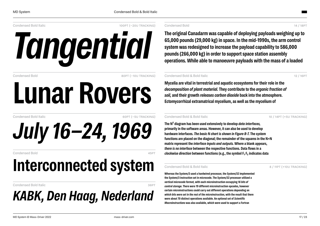Condensed Bold Italic 100pt (−20u tracking)



Condensed Bold 80pt (−10U TRACKING)

# **Lunar Rovers**

Condensed Bold Italic 60pt (−5u tracking)

# *July 16–24, 1969*

Condensed Bold 45pt

## **Interconnected system**

Condensed Bold Italic 36pt

### *KABK, Den Haag, Nederland*

### Condensed Bold 14 / 18pt

**The original Canadarm was capable of deploying payloads weighing up to 65,000 pounds (29,000 kg) in space. In the mid-1990s, the arm control system was redesigned to increase the payload capability to 586,000 pounds (266,000 kg) in order to support space station assembly operations. While able to manoeuvre payloads with the mass of a loaded**

### Condensed Bold & Bold Italic 12 / 16pt

**Mycelia are vital in terrestrial and aquatic ecosystems for their role in the** *decomposition of plant material.* **They contribute to the** *organic fraction of soil,* **and their growth** *releases carbon dioxide* **back into the atmosphere. Ectomycorrhizal extramatrical mycelium, as well as the mycelium of**

### Condensed Bold & Bold Italic 10 / 14pt (+5u tracking)

**The N² diagram has been used extensively to develop** *data interfaces,* **primarily in the software areas. However, it can also be used to develop hardware interfaces.** *The basic N chart is shown in Figure B-7.* **The system functions are placed on the diagonal; the remainder of the squares in the N×N matrix represent the** *interface inputs and outputs.* **Where a blank appears,** *there is no interface* **between the respective functions. Data flows in a** *clockwise direction* **between functions (e.g., the symbol F₁ F₂ indicates data**

### Condensed Bold & Bold Italic 8 / 11pt (+10u tracking)

**Whereas the System/3 used a hardwired processor, the System/32 implemented the System/3 instruction set in microcode. The System/32 processor utilized a** *vertical microcode format,* **with each microinstruction occupying** *16 bits of control storage.* **There were 19 different microinstruction opcodes, however certain microinstructions could carry out different operations depending on** *which bits were set in the rest of the microinstruction,* **with the result that there were about 70 distinct operations available. An optional set of** *Scientific Macroinstructions* **was also available, which were used to support a Fortran**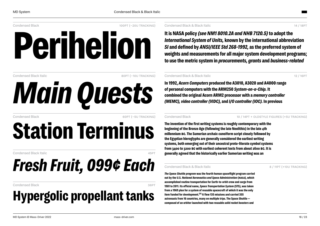

Condensed Black Italic 80pt (−10u tracking) *Main Quests*

Condensed Black 60pt (−5u tracking)

# **Station Terminus**

Condensed Black Italic 45pt and 25pt and 25pt and 25pt and 25pt and 25pt and 25pt and 25pt and 25pt and 25pt and 25pt and 25pt and 25pt and 25pt and 25pt and 25pt and 25pt and 25pt and 25pt and 25pt and 25pt and 25pt and 2

## *Fresh Fruit, 099¢ Each*

### Condensed Black 36pt

## **Hypergolic propellant tanks**

Condensed Black & Black Italic 14 / 18pt

### **It is NASA policy** *(see NM1 8010.2A and NHB 7120.5)* **to adopt the** *International System of Units,* **known by the international abbreviation** *SI* **and defined by** *ANSI/IEEE Std 268-1992,* **as the preferred system of weights and measurements for all major system development programs; to use the metric system in** *procurements, grants* **and** *business-related*

### Condensed Black & Black Italic 12 / 16pt 12 / 16pt 12 / 16pt 12 / 16pt 12 / 16pt 12 / 16pt 12 / 16pt 12 / 16pt

**In 1992,** *Acorn Computers* **produced the A3010, A3020 and A4000 range of personal computers with the ARM250** *System-on-a-Chip.* **It combined the original Acorn ARM2 processor with a** *memory controller (MEMC), video controller (VIDC),* **and** *I/O controller (IOC).* **In previous**

Condensed Black 10 / 14PT + OLDSTYLE FIGURES (+5U TRACKING)

**The invention of the first writing systems is roughly contemporary with the beginning of the Bronze Age (following the late Neolithic) in the late 4th millennium bc. The Sumerian archaic cuneiform script closely followed by the Egyptian hieroglyphs are generally considered the earliest writing systems, both emerging out of their ancestral proto-literate symbol systems from 3400 to 3200 bc with earliest coherent texts from about 2600 bc. It is generally agreed that the historically earlier Sumerian writing was an**

### Condensed Black & Black Italic 8 / 11pt (+10u TRACKING)

*The Space Shuttle program* **was the fourth human spaceflight program carried out by the U.S.** *National Aeronautics and Space Administration* **(nasa), which accomplished routine transportation for Earth-to-orbit crew and cargo from 1981 to 2011. Its official name,** *Space Transportation System* **(STS), was taken from a 1969 plan for a system of reusable spacecraft of which it was the only** item funded for development.<sup>[1]</sup> It flew 135 missions and carried 355 **astronauts from 16 countries, many on multiple trips. The Space Shuttle composed of an orbiter launched with two reusable** *solid rocket boosters* **and**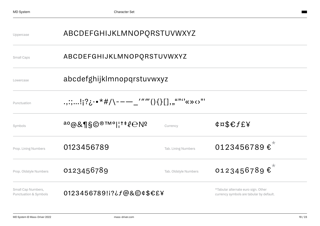| Uppercase                                              | ABCDEFGHIJKLMNOPQRSTUVWXYZ                   |                       |                                                                                 |  |
|--------------------------------------------------------|----------------------------------------------|-----------------------|---------------------------------------------------------------------------------|--|
| Small Caps                                             | ABCDEFGHIJKLMNOPQRSTUVWXYZ                   |                       |                                                                                 |  |
| Lowercase                                              | abcdefghijklmnopqrstuvwxyz                   |                       |                                                                                 |  |
| Punctuation                                            | .,:;!;?¿ • *#/\---_''''''(){}[],,,""''«»<>"' |                       |                                                                                 |  |
| Symbols                                                | $^{a\text{o}}$ @&¶§©®™° ¦†‡ $\ell$ eNº       | Currency              | $\texttt{angle}$                                                                |  |
| Prop. Lining Numbers                                   | 0123456789                                   | Tab. Lining Numbers   | 0123456789 $\epsilon^*$                                                         |  |
| Prop. Oldstyle Numbers                                 | 0123456789                                   | Tab. Oldstyle Numbers | 0123456789€ <sup>*</sup>                                                        |  |
| Small Cap Numbers,<br><b>Punctuation &amp; Symbols</b> | 0123456789!i?¿f@&©¢\$€£¥                     |                       | *Tabular alternate euro sign. Other<br>currency symbols are tabular by default. |  |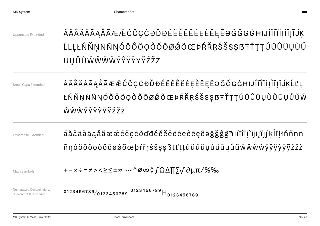| Uppercase Extended                                   | ÁĂÂÄÀĀĄÅÃÆÆĆČÇĊĐĎĐÉĔĚÊËĖEĘĒĒĘĔƏĞĞĢĠĦIJĺĬĨĨİIĮĨĴK<br>ĹĽĻŁŃŇŅŃÑŊÓŎÔÖQÒŐŌØØÕŒÞŔŘŖŚŠŞȘßŦŤŢŢÚŬÛÜŲÙŰ<br>ŪŲŮŨŴŴŴŴÝŶŸŶŸŽŽŻ  |
|------------------------------------------------------|---------------------------------------------------------------------------------------------------------------------|
| Small Caps Extended                                  | ÁĂÂÄÀĀĄÅÃÆÆĆČÇĊĐĎĐÉĔĚÊËĖĖĒĒĒĘĔƏĞĞĢĠĦIJÍĬĨĨİİĮĨJĶĹĽĻ<br>ŁŃŇŅŃÑŊÓŎÔÖỌÒŐŌØØÕŒÞŔŘŖŚŠŞȘßŦŤŢŢÚŬÛÜŲÙŰŪŲŮŨŴ<br>ŴŴŴÝŶŸŶŸŶŹŽŻ |
| Lowercase Extended                                   | áăâäàāąåãææćčçċðďđéĕěêëeeèēęẽəǧǧģġħıíĭîïjìijīįĩjí ķĺľḷłńňṇṅ<br>ñŋóŏôöọòőōøøõœþŕřŗśšşṣßŧťţṭúŭûüụùűūųůũẃŵẅẁýŷÿỳỹyžžż  |
| Math Symbols                                         | +-×÷=≠><≥≤±≈¬~^∅∞◊∫Ω∆∏∑√∂µπ/%‰                                                                                      |
| Numerators, Denominators,<br>Superscript & Subscript | 0123456789/0123456789 0123456789 $\parallel$ 0123456789                                                             |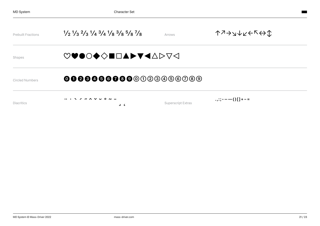| <b>Prebuilt Fractions</b> | $\frac{1}{2}$ $\frac{1}{3}$ $\frac{2}{3}$ $\frac{1}{4}$ $\frac{3}{4}$ $\frac{1}{8}$ $\frac{3}{8}$ $\frac{5}{8}$ $\frac{7}{8}$ | Arrows                    | <b>↑</b> ??↓∧←←                  |
|---------------------------|-------------------------------------------------------------------------------------------------------------------------------|---------------------------|----------------------------------|
| Shapes                    | ♡♥●○◆◇■□▲▶▼◀△▷▽◁                                                                                                              |                           |                                  |
| Circled Numbers           | 000000000000000000000                                                                                                         |                           |                                  |
| <b>Diacritics</b>         | . ヽ ノ 〃 ∧ ∨ ∪ 0 ~ -<br>ے د                                                                                                    | <b>Superscript Extras</b> | $\ldots$ ; ; - - - - () [] + - = |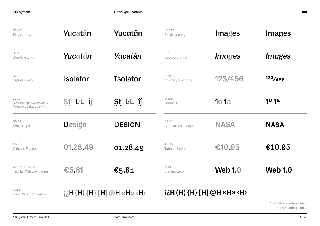| $SS01*$<br>Single-story a                                         | Yucatán                                 | Yucatán         | $SS02*$<br>Single-story g                           | Images               | <b>Images</b>                 |
|-------------------------------------------------------------------|-----------------------------------------|-----------------|-----------------------------------------------------|----------------------|-------------------------------|
| SS11 <sup>†</sup><br>Double-story a                               | Yucatán                                 | Yucatán         | $SS12^{\dagger}$<br>Double-story g                  | <i><b>Images</b></i> | <i><b>Images</b></i>          |
| <b>SS03</b><br>Legible Forms                                      | <b>solator</b>                          | <b>Isolator</b> | <b>FRAC</b><br><b>Arbitrary Fractions</b>           | 123/456              | 123/456                       |
| LOCL<br>Localised Forms (Romanian &<br>Moldavian; Catalan; Dutch) | St LL ij                                | St LL íj́       | ORDN<br>Ordinals                                    | <b>1</b> o 1a        | 1 <sup>o</sup> 1 <sup>a</sup> |
| SMCP<br>Small Caps                                                | <b>Design</b>                           | <b>DESIGN</b>   | C <sub>2</sub> S <sub>C</sub><br>Caps to Small Caps | <b>NASA</b>          | <b>NASA</b>                   |
| ONUM<br>Oldstyle Figures                                          | 01.28.49                                | 01.28.49        | <b>TNUM</b><br>Tabular Figures                      | €10.95               | €10.95                        |
| ONUM + TNUM<br>Tabular Oldstyle Figures                           | €5.81                                   | €5.81           | ZERO<br>Slashed Zero                                | <b>Web 1.0</b>       | <b>Web 1.0</b>                |
| CASE<br>Case-Sensitive Forms                                      | $i\lambda$ H (H) {H} [H] @H «H» <h></h> |                 | i¿H (H) {H} [H] @H «H» <h></h>                      |                      |                               |

\*Romans & variable only. †Italics & variable only.